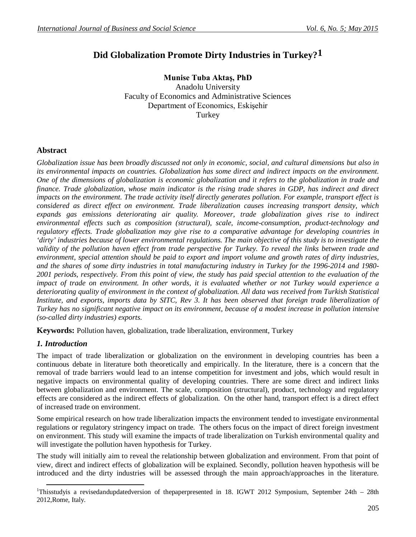# **Did Globalization Promote Dirty Industries in Turkey?1**

**Munise Tuba Aktaş, PhD** Anadolu University Faculty of Economics and Administrative Sciences Department of Economics, Eskişehir Turkey

# **Abstract**

*Globalization issue has been broadly discussed not only in economic, social, and cultural dimensions but also in its environmental impacts on countries. Globalization has some direct and indirect impacts on the environment. One of the dimensions of globalization is economic globalization and it refers to the globalization in trade and finance. Trade globalization, whose main indicator is the rising trade shares in GDP, has indirect and direct impacts on the environment. The trade activity itself directly generates pollution. For example, transport effect is considered as direct effect on environment. Trade liberalization causes increasing transport density, which expands gas emissions deteriorating air quality. Moreover, trade globalization gives rise to indirect environmental effects such as composition (structural), scale, income-consumption, product-technology and regulatory effects. Trade globalization may give rise to a comparative advantage for developing countries in 'dirty' industries because of lower environmental regulations. The main objective of this study is to investigate the validity of the pollution haven effect from trade perspective for Turkey. To reveal the links between trade and environment, special attention should be paid to export and import volume and growth rates of dirty industries, and the shares of some dirty industries in total manufacturing industry in Turkey for the 1996-2014 and 1980- 2001 periods, respectively. From this point of view, the study has paid special attention to the evaluation of the impact of trade on environment. In other words, it is evaluated whether or not Turkey would experience a deteriorating quality of environment in the context of globalization. All data was received from Turkish Statistical Institute, and exports, imports data by SITC, Rev 3. It has been observed that foreign trade liberalization of Turkey has no significant negative impact on its environment, because of a modest increase in pollution intensive (so-called dirty industries) exports.*

**Keywords:** Pollution haven, globalization, trade liberalization, environment, Turkey

# *1. Introduction*

1

The impact of trade liberalization or globalization on the environment in developing countries has been a continuous debate in literature both theoretically and empirically. In the literature, there is a concern that the removal of trade barriers would lead to an intense competition for investment and jobs, which would result in negative impacts on environmental quality of developing countries. There are some direct and indirect links between globalization and environment. The scale, composition (structural), product, technology and regulatory effects are considered as the indirect effects of globalization. On the other hand, transport effect is a direct effect of increased trade on environment.

Some empirical research on how trade liberalization impacts the environment tended to investigate environmental regulations or regulatory stringency impact on trade. The others focus on the impact of direct foreign investment on environment. This study will examine the impacts of trade liberalization on Turkish environmental quality and will investigate the pollution haven hypothesis for Turkey.

The study will initially aim to reveal the relationship between globalization and environment. From that point of view, direct and indirect effects of globalization will be explained. Secondly, pollution heaven hypothesis will be introduced and the dirty industries will be assessed through the main approach/approaches in the literature.

<sup>&</sup>lt;sup>1</sup>Thisstudyis a revisedandupdatedversion of thepaperpresented in 18. IGWT 2012 Symposium, September 24th – 28th 2012,Rome, Italy.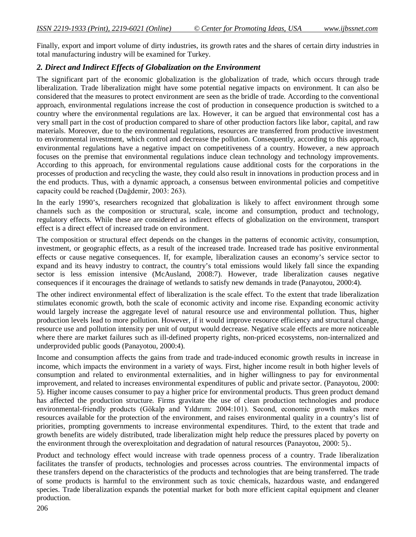Finally, export and import volume of dirty industries, its growth rates and the shares of certain dirty industries in total manufacturing industry will be examined for Turkey.

#### *2. Direct and Indirect Effects of Globalization on the Environment*

The significant part of the economic globalization is the globalization of trade, which occurs through trade liberalization. Trade liberalization might have some potential negative impacts on environment. It can also be considered that the measures to protect environment are seen as the bridle of trade. According to the conventional approach, environmental regulations increase the cost of production in consequence production is switched to a country where the environmental regulations are lax. However, it can be argued that environmental cost has a very small part in the cost of production compared to share of other production factors like labor, capital, and raw materials. Moreover, due to the environmental regulations, resources are transferred from productive investment to environmental investment, which control and decrease the pollution. Consequently, according to this approach, environmental regulations have a negative impact on competitiveness of a country. However, a new approach focuses on the premise that environmental regulations induce clean technology and technology improvements. According to this approach, for environmental regulations cause additional costs for the corporations in the processes of production and recycling the waste, they could also result in innovations in production process and in the end products. Thus, with a dynamic approach, a consensus between environmental policies and competitive capacity could be reached (Dağdemir, 2003: 263).

In the early 1990's, researchers recognized that globalization is likely to affect environment through some channels such as the composition or structural, scale, income and consumption, product and technology, regulatory effects. While these are considered as indirect effects of globalization on the environment, transport effect is a direct effect of increased trade on environment.

The composition or structural effect depends on the changes in the patterns of economic activity, consumption, investment, or geographic effects, as a result of the increased trade. Increased trade has positive environmental effects or cause negative consequences. If, for example, liberalization causes an economy's service sector to expand and its heavy industry to contract, the country's total emissions would likely fall since the expanding sector is less emission intensive (McAusland, 2008:7). However, trade liberalization causes negative consequences if it encourages the drainage of wetlands to satisfy new demands in trade (Panayotou, 2000:4).

The other indirect environmental effect of liberalization is the scale effect. To the extent that trade liberalization stimulates economic growth, both the scale of economic activity and income rise. Expanding economic activity would largely increase the aggregate level of natural resource use and environmental pollution. Thus, higher production levels lead to more pollution. However, if it would improve resource efficiency and structural change, resource use and pollution intensity per unit of output would decrease. Negative scale effects are more noticeable where there are market failures such as ill-defined property rights, non-priced ecosystems, non-internalized and underprovided public goods (Panayotou, 2000:4).

Income and consumption affects the gains from trade and trade-induced economic growth results in increase in income, which impacts the environment in a variety of ways. First, higher income result in both higher levels of consumption and related to environmental externalities, and in higher willingness to pay for environmental improvement, and related to increases environmental expenditures of public and private sector. (Panayotou, 2000: 5). Higher income causes consumer to pay a higher price for environmental products. Thus green product demand has affected the production structure. Firms gravitate the use of clean production technologies and produce environmental-friendly products (Gökalp and Yıldırım: 2004:101). Second, economic growth makes more resources available for the protection of the environment, and raises environmental quality in a country's list of priorities, prompting governments to increase environmental expenditures. Third, to the extent that trade and growth benefits are widely distributed, trade liberalization might help reduce the pressures placed by poverty on the environment through the overexploitation and degradation of natural resources (Panayotou, 2000: 5)..

Product and technology effect would increase with trade openness process of a country. Trade liberalization facilitates the transfer of products, technologies and processes across countries. The environmental impacts of these transfers depend on the characteristics of the products and technologies that are being transferred. The trade of some products is harmful to the environment such as toxic chemicals, hazardous waste, and endangered species. Trade liberalization expands the potential market for both more efficient capital equipment and cleaner production.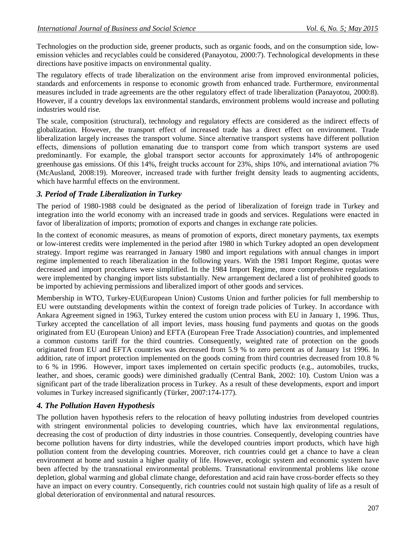Technologies on the production side, greener products, such as organic foods, and on the consumption side, lowemission vehicles and recyclables could be considered (Panayotou, 2000:7). Technological developments in these directions have positive impacts on environmental quality.

The regulatory effects of trade liberalization on the environment arise from improved environmental policies, standards and enforcements in response to economic growth from enhanced trade. Furthermore, environmental measures included in trade agreements are the other regulatory effect of trade liberalization (Panayotou, 2000:8). However, if a country develops lax environmental standards, environment problems would increase and polluting industries would rise.

The scale, composition (structural), technology and regulatory effects are considered as the indirect effects of globalization. However, the transport effect of increased trade has a direct effect on environment. Trade liberalization largely increases the transport volume. Since alternative transport systems have different pollution effects, dimensions of pollution emanating due to transport come from which transport systems are used predominantly. For example, the global transport sector accounts for approximately 14% of anthropogenic greenhouse gas emissions. Of this 14%, freight trucks account for 23%, ships 10%, and international aviation 7% (McAusland, 2008:19). Moreover, increased trade with further freight density leads to augmenting accidents, which have harmful effects on the environment.

# *3. Period of Trade Liberalization in Turkey*

The period of 1980-1988 could be designated as the period of liberalization of foreign trade in Turkey and integration into the world economy with an increased trade in goods and services. Regulations were enacted in favor of liberalization of imports; promotion of exports and changes in exchange rate policies.

In the context of economic measures, as means of promotion of exports, direct monetary payments, tax exempts or low-interest credits were implemented in the period after 1980 in which Turkey adopted an open development strategy. Import regime was rearranged in January 1980 and import regulations with annual changes in import regime implemented to reach liberalization in the following years. With the 1981 Import Regime, quotas were decreased and import procedures were simplified. In the 1984 Import Regime, more comprehensive regulations were implemented by changing import lists substantially. New arrangement declared a list of prohibited goods to be imported by achieving permissions and liberalized import of other goods and services.

Membership in WTO, Turkey-EU(European Union) Customs Union and further policies for full membership to EU were outstanding developments within the context of foreign trade policies of Turkey. In accordance with Ankara Agreement signed in 1963, Turkey entered the custom union process with EU in January 1, 1996. Thus, Turkey accepted the cancellation of all import levies, mass housing fund payments and quotas on the goods originated from EU (European Union) and EFTA (European Free Trade Association) countries, and implemented a common customs tariff for the third countries. Consequently, weighted rate of protection on the goods originated from EU and EFTA countries was decreased from 5.9 % to zero percent as of January 1st 1996. In addition, rate of import protection implemented on the goods coming from third countries decreased from 10.8 % to 6 % in 1996. However, import taxes implemented on certain specific products (e.g., automobiles, trucks, leather, and shoes, ceramic goods) were diminished gradually (Central Bank, 2002: 10). Custom Union was a significant part of the trade liberalization process in Turkey. As a result of these developments, export and import volumes in Turkey increased significantly (Türker, 2007:174-177).

# *4. The Pollution Haven Hypothesis*

The pollution haven hypothesis refers to the relocation of heavy polluting industries from developed countries with stringent environmental policies to developing countries, which have lax environmental regulations, decreasing the cost of production of dirty industries in those countries. Consequently, developing countries have become pollution havens for dirty industries, while the developed countries import products, which have high pollution content from the developing countries. Moreover, rich countries could get a chance to have a clean environment at home and sustain a higher quality of life. However, ecologic system and economic system have been affected by the transnational environmental problems. Transnational environmental problems like ozone depletion, global warming and global climate change, deforestation and acid rain have cross-border effects so they have an impact on every country. Consequently, rich countries could not sustain high quality of life as a result of global deterioration of environmental and natural resources.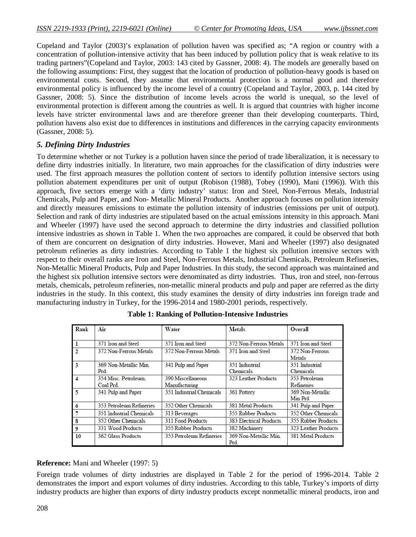Copeland and Taylor (2003)'s explanation of pollution haven was specified as; "A region or country with a concentration of pollution-intensive activity that has been induced by pollution policy that is weak relative to its trading partners"(Copeland and Taylor, 2003: 143 cited by Gassner, 2008: 4). The models are generally based on the following assumptions: First, they suggest that the location of production of pollution-heavy goods is based on environmental costs. Second, they assume that environmental protection is a normal good and therefore environmental policy is influenced by the income level of a country (Copeland and Taylor, 2003, p. 144 cited by Gassner, 2008: 5). Since the distribution of income levels across the world is unequal, so the level of environmental protection is different among the countries as well. It is argued that countries with higher income levels have stricter environmental laws and are therefore greener than their developing counterparts. Third, pollution havens also exist due to differences in institutions and differences in the carrying capacity environments (Gassner, 2008: 5).

#### *5. Defining Dirty Industries*

To determine whether or not Turkey is a pollution haven since the period of trade liberalization, it is necessary to define dirty industries initially. In literature, two main approaches for the classification of dirty industries were used. The first approach measures the pollution content of sectors to identify pollution intensive sectors using pollution abatement expenditures per unit of output (Robison (1988), Tobey (1990), Mani (1996)). With this approach, five sectors emerge with a 'dirty industry' status: Iron and Steel, Non-Ferrous Metals, Industrial Chemicals, Pulp and Paper, and Non- Metallic Mineral Products. Another approach focuses on pollution intensity and directly measures emissions to estimate the pollution intensity of industries (emissions per unit of output). Selection and rank of dirty industries are stipulated based on the actual emissions intensity in this approach. Mani and Wheeler (1997) have used the second approach to determine the dirty industries and classified pollution intensive industries as shown in Table 1. When the two approaches are compared, it could be observed that both of them are concurrent on designation of dirty industries. However, Mani and Wheeler (1997) also designated petroleum refineries as dirty industries. According to Table 1 the highest six pollution intensive sectors with respect to their overall ranks are Iron and Steel, Non-Ferrous Metals, Industrial Chemicals, Petroleum Refineries, Non-Metallic Mineral Products, Pulp and Paper Industries. In this study, the second approach was maintained and the highest six pollution intensive sectors were denominated as dirty industries. Thus, iron and steel, non-ferrous metals, chemicals, petroleum refineries, non-metallic mineral products and pulp and paper are referred as the dirty industries in the study. In this context, this study examines the density of dirty industries inn foreign trade and manufacturing industry in Turkey, for the 1996-2014 and 1980-2001 periods, respectively.

| Rank           | Air                              | Water                                     | Metals                             | <b>Overall</b>                     |  |
|----------------|----------------------------------|-------------------------------------------|------------------------------------|------------------------------------|--|
|                | 371 Iron and Steel               | 371 Iron and Steel                        | 372 Non-Ferrous Metals             | 371 Iron and Steel                 |  |
| $\overline{2}$ | 372 Non-Ferrous Metals           | 372 Non-Ferrous Metals                    | 371 Iron and Steel                 | 372 Non-Ferrous<br>Metals          |  |
| 3              | 369 Non-Metallic Min.<br>Prd     | 341 Pulp and Paper                        | 351 Industrial<br><b>Chemicals</b> | 351 Industrial<br><b>Chemicals</b> |  |
| 4              | 354 Misc. Petroleum.<br>Coal Prd | <b>390 Miscellaneous</b><br>Manufacturing | 323 Leather Products               | 353 Petroleum<br>Refineries        |  |
| 5              | 341 Pulp and Paper               | 351 Industrial Chemicals                  | 361 Pottery                        | 369 Non-Metallic<br>Min Prd        |  |
| 6              | 353 Petroleum Refineries         | 352 Other Chemicals                       | 381 Metal Products                 | 341 Pulp and Paper                 |  |
|                | 351 Industrial Chemicals         | 313 Beverages                             | 355 Rubber Products                | 352 Other Chemicals                |  |
| 8              | 352 Other Chemicals              | 311 Food Products                         | <b>383 Electrical Products</b>     | 355 Rubber Products                |  |
| 9              | 331 Wood Products                | 355 Rubber Products                       | 382 Machinery                      | 323 Leather Products               |  |
| 10             | 362 Glass Products               | 353 Petroleum Refineries                  | 369 Non-Metallic Min<br>Prd.       | <b>381 Metal Products</b>          |  |

**Table 1: Ranking of Pollution-Intensive Industries**

#### **Reference:** Mani and Wheeler (1997: 5)

Foreign trade volumes of dirty industries are displayed in Table 2 for the period of 1996-2014. Table 2 demonstrates the import and export volumes of dirty industries. According to this table, Turkey's imports of dirty industry products are higher than exports of dirty industry products except nonmetallic mineral products, iron and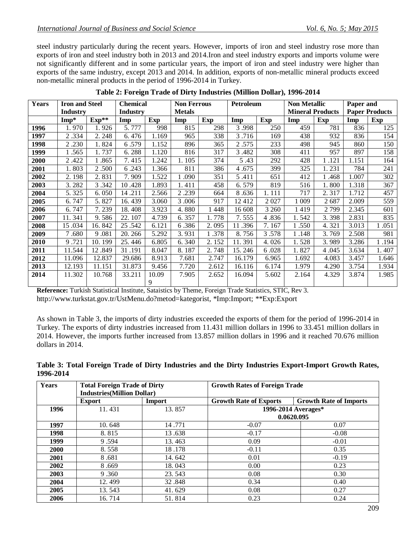steel industry particularly during the recent years. However, imports of iron and steel industry rose more than exports of iron and steel industry both in 2013 and 2014.Iron and steel industry exports and imports volume were not significantly different and in some particular years, the import of iron and steel industry were higher than exports of the same industry, except 2013 and 2014. In addition, exports of non-metallic mineral products exceed non-metallic mineral products in the period of 1996-2014 in Turkey.

| Years | <b>Iron and Steel</b> |        | <b>Chemical</b> | <b>Non Ferrous</b> |       |       | <b>Petroleum</b> |         | <b>Non Metallic</b>     |        | Paper and             |       |
|-------|-----------------------|--------|-----------------|--------------------|-------|-------|------------------|---------|-------------------------|--------|-----------------------|-------|
|       | <b>Industry</b>       |        | <b>Industry</b> | <b>Metals</b>      |       |       |                  |         | <b>Mineral Products</b> |        | <b>Paper Products</b> |       |
|       | $\text{Imp*}$         | Exp**  | Imp             | Exp                | Imp   | Exp   | Imp              | Exp     | Imp                     | Exp    | Imp                   | Exp   |
| 1996  | 1.970                 | 1.926  | 5.777           | 998                | 815   | 298   | 3.998            | 250     | 459                     | 781    | 836                   | 125   |
| 1997  | 2.334                 | 2.248  | 6.476           | 1.169              | 965   | 338   | 3.716            | 169     | 438                     | 932    | 836                   | 154   |
| 1998  | 2.230                 | 1.824  | 6.579           | 1.152              | 896   | 365   | 2.575            | 233     | 498                     | 945    | 860                   | 150   |
| 1999  | 1.565                 | 1.737  | 6.288           | 1.120              | 816   | 317   | 3.482            | 308     | 411                     | 957    | 897                   | 158   |
| 2000  | 2.422                 | 1.865  | 7.415           | 1.242              | 1.105 | 374   | 5.43             | 292     | 428                     | 1 .121 | 1.151                 | 164   |
| 2001  | 1.803                 | 2.500  | 6.243           | 1.366              | 811   | 386   | 4.675            | 399     | 325                     | 1.231  | 784                   | 241   |
| 2002  | 2.198                 | 2.831  | 7.909           | 1.522              | .090  | 351   | 5.411            | 651     | 412                     | 1.468  | 1.007                 | 302   |
| 2003  | 3.282                 | 3.342  | 10.428          | 1.893              | 1.411 | 458   | 6.579            | 819     | 516                     | 1.800  | 1.318                 | 367   |
| 2004  | 5.325                 | 6.050  | 14.211          | 2.566              | 2.239 | 664   | 8.636            | 1.111   | 717                     | 2.317  | 1.712                 | 457   |
| 2005  | 6.747                 | 5.827  | 16.439          | 3.060              | 3.006 | 917   | 12412            | 2027    | 1 0 0 9                 | 2687   | 2.009                 | 559   |
| 2006  | 6.747                 | 7.239  | 18.408          | 3.923              | 4.880 | 1448  | 16 608           | 3 2 6 0 | 1419                    | 2799   | 2.345                 | 601   |
| 2007  | 11.341                | 9.586  | 22.107          | 4.739              | 6.357 | 1.778 | 7.555            | 4.836   | 1.542                   | 3.398  | 2.831                 | 835   |
| 2008  | 15.034                | 16.842 | 25.542          | 6.121              | 6.386 | 2.095 | 11.396           | 7. 167  | 1.550                   | 4.321  | 3.013                 | 1.051 |
| 2009  | 7.680                 | 9.081  | 20.266          | 5.292              | 3.931 | 1.378 | 8.756            | 3.578   | 1.148                   | 3.769  | 2.508                 | 981   |
| 2010  | 9.721                 | 10.199 | 25.446          | 6.805              | 6.340 | 2.152 | 11.391           | 4.026   | 1.528                   | 3.989  | 3.286                 | 1.194 |
| 2011  | 11.544                | 12.849 | 31.191          | 8.047              | 8.187 | 2.748 | 15.246           | 6.028   | 1.827                   | 4.045  | 3.634                 | 1.407 |
| 2012  | 11.096                | 12.837 | 29.686          | 8.913              | 7.681 | 2.747 | 16.179           | 6.965   | 1.692                   | 4.083  | 3.457                 | 1.646 |
| 2013  | 12.193                | 11.151 | 31.873          | 9.456              | 7.720 | 2.612 | 16.116           | 6.174   | 1.979                   | 4.290  | 3.754                 | 1.934 |
| 2014  | 11.302                | 10.768 | 33.211          | 10.09              | 7.905 | 2.652 | 16.094           | 5.602   | 2.164                   | 4.329  | 3.874                 | 1.985 |
|       |                       |        |                 | 9                  |       |       |                  |         |                         |        |                       |       |

### **Table 2: Foreign Trade of Dirty Industries (Million Dollar), 1996-2014**

**Reference:** Turkish Statistical Institute, Sataistics by Theme, Foreign Trade Statistics, STIC, Rev 3. http://www.turkstat.gov.tr/UstMenu.do?metod=kategorist, \*Imp:Import; \*\*Exp:Export

As shown in Table 3, the imports of dirty industries exceeded the exports of them for the period of 1996-2014 in Turkey. The exports of dirty industries increased from 11.431 million dollars in 1996 to 33.451 million dollars in 2014. However, the imports further increased from 13.857 million dollars in 1996 and it reached 70.676 million dollars in 2014.

**Table 3: Total Foreign Trade of Dirty Industries and the Dirty Industries Export-Import Growth Rates, 1996-2014**

| Years | <b>Total Foreign Trade of Dirty</b><br><b>Industries</b> (Million Dollar) |        | <b>Growth Rates of Foreign Trade</b> |                               |  |
|-------|---------------------------------------------------------------------------|--------|--------------------------------------|-------------------------------|--|
|       | <b>Export</b>                                                             | Import | <b>Growth Rate of Exports</b>        | <b>Growth Rate of Imports</b> |  |
| 1996  | 11.431                                                                    | 13.857 |                                      | 1996-2014 Averages $*$        |  |
|       |                                                                           |        | 0.0620.095                           |                               |  |
| 1997  | 10.648                                                                    | 14.771 | $-0.07$                              | 0.07                          |  |
| 1998  | 8.815                                                                     | 13.638 | $-0.17$                              | $-0.08$                       |  |
| 1999  | 9.594                                                                     | 13.463 | 0.09                                 | $-0.01$                       |  |
| 2000  | 8.558                                                                     | 18.178 | $-0.11$                              | 0.35                          |  |
| 2001  | 8.681                                                                     | 14.642 | 0.01                                 | $-0.19$                       |  |
| 2002  | 8.669                                                                     | 18.043 | 0.00                                 | 0.23                          |  |
| 2003  | 9.360                                                                     | 23.543 | 0.08                                 | 0.30                          |  |
| 2004  | 12.499                                                                    | 32.848 | 0.34                                 | 0.40                          |  |
| 2005  | 13.543                                                                    | 41.629 | 0.08                                 | 0.27                          |  |
| 2006  | 16.714                                                                    | 51.814 | 0.23                                 | 0.24                          |  |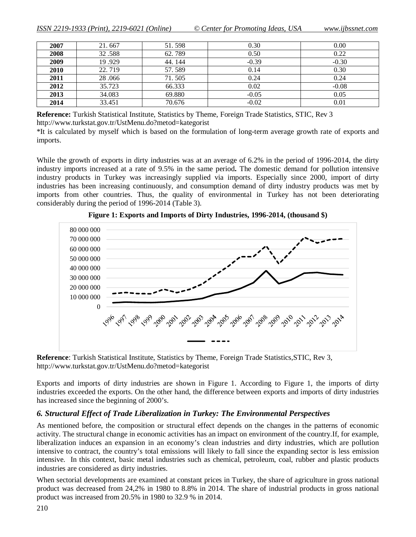| 2007 | 21.667 | 51.598 | 0.30    | 0.00    |
|------|--------|--------|---------|---------|
| 2008 | 32.588 | 62.789 | 0.50    | 0.22    |
| 2009 | 19.929 | 44.144 | $-0.39$ | $-0.30$ |
| 2010 | 22.719 | 57.589 | 0.14    | 0.30    |
| 2011 | 28.066 | 71.505 | 0.24    | 0.24    |
| 2012 | 35.723 | 66.333 | 0.02    | $-0.08$ |
| 2013 | 34.083 | 69.880 | $-0.05$ | 0.05    |
| 2014 | 33.451 | 70.676 | $-0.02$ | 0.01    |

**Reference:** Turkish Statistical Institute, Statistics by Theme, Foreign Trade Statistics, STIC, Rev 3 http://www.turkstat.gov.tr/UstMenu.do?metod=kategorist

\*It is calculated by myself which is based on the formulation of long-term average growth rate of exports and imports.

While the growth of exports in dirty industries was at an average of 6.2% in the period of 1996-2014, the dirty industry imports increased at a rate of 9.5% in the same period**.** The domestic demand for pollution intensive industry products in Turkey was increasingly supplied via imports. Especially since 2000, import of dirty industries has been increasing continuously, and consumption demand of dirty industry products was met by imports from other countries. Thus, the quality of environmental in Turkey has not been deteriorating considerably during the period of 1996-2014 (Table 3).



**Figure 1: Exports and Imports of Dirty Industries, 1996-2014, (thousand \$)**

**Reference**: Turkish Statistical Institute, Statistics by Theme, Foreign Trade Statistics,STIC, Rev 3, http://www.turkstat.gov.tr/UstMenu.do?metod=kategorist

Exports and imports of dirty industries are shown in Figure 1. According to Figure 1, the imports of dirty industries exceeded the exports. On the other hand, the difference between exports and imports of dirty industries has increased since the beginning of 2000's.

#### *6. Structural Effect of Trade Liberalization in Turkey: The Environmental Perspectives*

As mentioned before, the composition or structural effect depends on the changes in the patterns of economic activity. The structural change in economic activities has an impact on environment of the country.If, for example, liberalization induces an expansion in an economy's clean industries and dirty industries, which are pollution intensive to contract, the country's total emissions will likely to fall since the expanding sector is less emission intensive. In this context, basic metal industries such as chemical, petroleum, coal, rubber and plastic products industries are considered as dirty industries.

When sectorial developments are examined at constant prices in Turkey, the share of agriculture in gross national product was decreased from 24,2% in 1980 to 8.8% in 2014. The share of industrial products in gross national product was increased from 20.5% in 1980 to 32.9 % in 2014.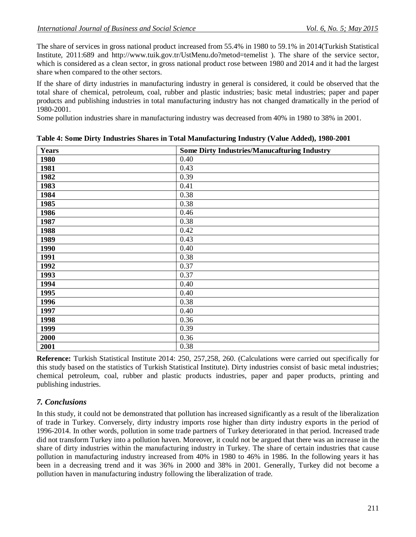The share of services in gross national product increased from 55.4% in 1980 to 59.1% in 2014(Turkish Statistical Institute, 2011:689 and http://www.tuik.gov.tr/UstMenu.do?metod=temelist ). The share of the service sector, which is considered as a clean sector, in gross national product rose between 1980 and 2014 and it had the largest share when compared to the other sectors.

If the share of dirty industries in manufacturing industry in general is considered, it could be observed that the total share of chemical, petroleum, coal, rubber and plastic industries; basic metal industries; paper and paper products and publishing industries in total manufacturing industry has not changed dramatically in the period of 1980-2001.

Some pollution industries share in manufacturing industry was decreased from 40% in 1980 to 38% in 2001.

| <b>Years</b> | <b>Some Dirty Industries/Manucafturing Industry</b> |
|--------------|-----------------------------------------------------|
| 1980         | 0.40                                                |
| 1981         | 0.43                                                |
| 1982         | 0.39                                                |
| 1983         | 0.41                                                |
| 1984         | 0.38                                                |
| 1985         | 0.38                                                |
| 1986         | 0.46                                                |
| 1987         | 0.38                                                |
| 1988         | 0.42                                                |
| 1989         | 0.43                                                |
| 1990         | 0.40                                                |
| 1991         | 0.38                                                |
| 1992         | 0.37                                                |
| 1993         | 0.37                                                |
| 1994         | 0.40                                                |
| 1995         | 0.40                                                |
| 1996         | 0.38                                                |
| 1997         | 0.40                                                |
| 1998         | 0.36                                                |
| 1999         | 0.39                                                |
| 2000         | 0.36                                                |
| 2001         | 0.38                                                |

**Table 4: Some Dirty Industries Shares in Total Manufacturing Industry (Value Added), 1980-2001**

**Reference:** Turkish Statistical Institute 2014: 250, 257,258, 260. (Calculations were carried out specifically for this study based on the statistics of Turkish Statistical Institute). Dirty industries consist of basic metal industries; chemical petroleum, coal, rubber and plastic products industries, paper and paper products, printing and publishing industries.

# *7. Conclusions*

In this study, it could not be demonstrated that pollution has increased significantly as a result of the liberalization of trade in Turkey. Conversely, dirty industry imports rose higher than dirty industry exports in the period of 1996-2014. In other words, pollution in some trade partners of Turkey deteriorated in that period. Increased trade did not transform Turkey into a pollution haven. Moreover, it could not be argued that there was an increase in the share of dirty industries within the manufacturing industry in Turkey. The share of certain industries that cause pollution in manufacturing industry increased from 40% in 1980 to 46% in 1986. In the following years it has been in a decreasing trend and it was 36% in 2000 and 38% in 2001. Generally, Turkey did not become a pollution haven in manufacturing industry following the liberalization of trade.